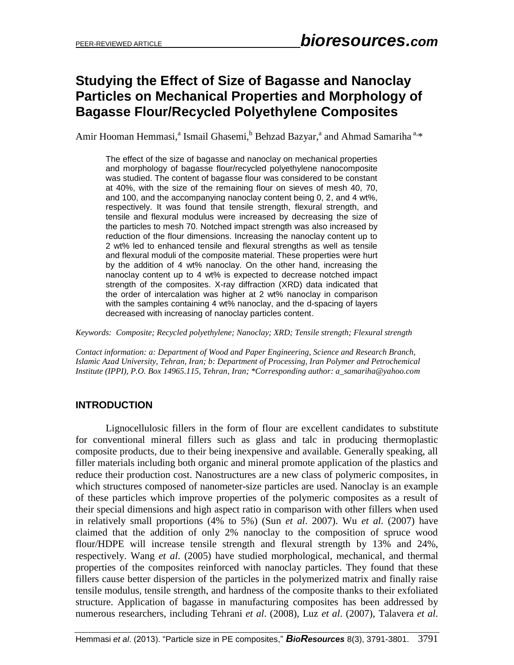# **Studying the Effect of Size of Bagasse and Nanoclay Particles on Mechanical Properties and Morphology of Bagasse Flour/Recycled Polyethylene Composites**

Amir Hooman Hemmasi,<sup>a</sup> Ismail Ghasemi,<sup>b</sup> Behzad Bazyar,<sup>a</sup> and Ahmad Samariha<sup>a,\*</sup>

The effect of the size of bagasse and nanoclay on mechanical properties and morphology of bagasse flour/recycled polyethylene nanocomposite was studied. The content of bagasse flour was considered to be constant at 40%, with the size of the remaining flour on sieves of mesh 40, 70, and 100, and the accompanying nanoclay content being 0, 2, and 4 wt%, respectively. It was found that tensile strength, flexural strength, and tensile and flexural modulus were increased by decreasing the size of the particles to mesh 70. Notched impact strength was also increased by reduction of the flour dimensions. Increasing the nanoclay content up to 2 wt% led to enhanced tensile and flexural strengths as well as tensile and flexural moduli of the composite material. These properties were hurt by the addition of 4 wt% nanoclay. On the other hand, increasing the nanoclay content up to 4 wt% is expected to decrease notched impact strength of the composites. X-ray diffraction (XRD) data indicated that the order of intercalation was higher at 2 wt% nanoclay in comparison with the samples containing 4 wt% nanoclay, and the d-spacing of layers decreased with increasing of nanoclay particles content.

*Keywords: Composite; Recycled polyethylene; Nanoclay; XRD; Tensile strength; Flexural strength*

*Contact information: a: Department of Wood and Paper Engineering, Science and Research Branch, Islamic Azad University, Tehran, Iran; b: Department of Processing, Iran Polymer and Petrochemical Institute (IPPI), P.O. Box 14965.115, Tehran, Iran; \*Corresponding author: a\_samariha@yahoo.com*

## **INTRODUCTION**

Lignocellulosic fillers in the form of flour are excellent candidates to substitute for conventional mineral fillers such as glass and talc in producing thermoplastic composite products, due to their being inexpensive and available. Generally speaking, all filler materials including both organic and mineral promote application of the plastics and reduce their production cost. Nanostructures are a new class of polymeric composites, in which structures composed of nanometer-size particles are used. Nanoclay is an example of these particles which improve properties of the polymeric composites as a result of their special dimensions and high aspect ratio in comparison with other fillers when used in relatively small proportions (4% to 5%) (Sun *et al*. 2007). Wu *et al*. (2007) have claimed that the addition of only 2% nanoclay to the composition of spruce wood flour/HDPE will increase tensile strength and flexural strength by 13% and 24%, respectively. Wang *et al*. (2005) have studied morphological, mechanical, and thermal properties of the composites reinforced with nanoclay particles. They found that these fillers cause better dispersion of the particles in the polymerized matrix and finally raise tensile modulus, tensile strength, and hardness of the composite thanks to their exfoliated structure. Application of bagasse in manufacturing composites has been addressed by numerous researchers, including Tehrani *et al*. (2008), Luz *et al*. (2007), Talavera *et al*.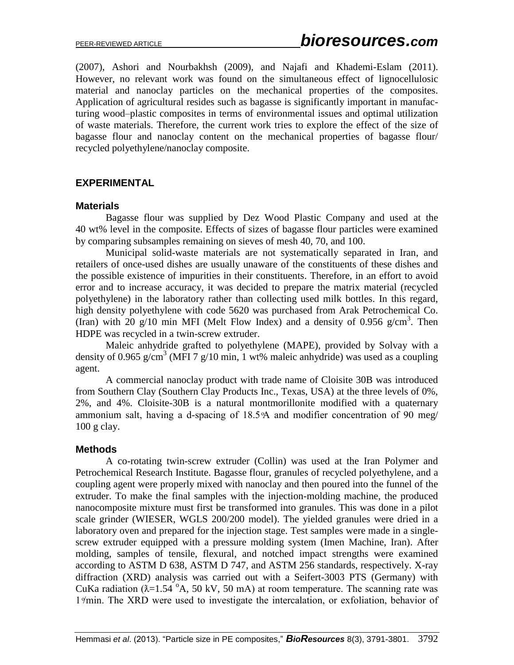(2007), Ashori and Nourbakhsh (2009), and Najafi and Khademi-Eslam (2011). However, no relevant work was found on the simultaneous effect of lignocellulosic material and nanoclay particles on the mechanical properties of the composites. Application of agricultural resides such as bagasse is significantly important in manufacturing wood–plastic composites in terms of environmental issues and optimal utilization of waste materials. Therefore, the current work tries to explore the effect of the size of bagasse flour and nanoclay content on the mechanical properties of bagasse flour/ recycled polyethylene/nanoclay composite.

#### **EXPERIMENTAL**

#### **Materials**

Bagasse flour was supplied by Dez Wood Plastic Company and used at the 40 wt% level in the composite. Effects of sizes of bagasse flour particles were examined by comparing subsamples remaining on sieves of mesh 40, 70, and 100.

Municipal solid-waste materials are not systematically separated in Iran, and retailers of once-used dishes are usually unaware of the constituents of these dishes and the possible existence of impurities in their constituents. Therefore, in an effort to avoid error and to increase accuracy, it was decided to prepare the matrix material (recycled polyethylene) in the laboratory rather than collecting used milk bottles. In this regard, high density polyethylene with code 5620 was purchased from Arak Petrochemical Co. (Iran) with 20  $g/10$  min MFI (Melt Flow Index) and a density of 0.956  $g/cm<sup>3</sup>$ . Then HDPE was recycled in a twin-screw extruder.

Maleic anhydride grafted to polyethylene (MAPE), provided by Solvay with a density of 0.965 g/cm<sup>3</sup> (MFI 7 g/10 min, 1 wt% maleic anhydride) was used as a coupling agent.

 A commercial nanoclay product with trade name of Cloisite 30B was introduced from Southern Clay (Southern Clay Products Inc., Texas, USA) at the three levels of 0%, 2%, and 4%. Cloisite-30B is a natural montmorillonite modified with a quaternary ammonium salt, having a d-spacing of 18.5% and modifier concentration of 90 meg/ 100 g clay.

#### **Methods**

A co-rotating twin-screw extruder (Collin) was used at the Iran Polymer and Petrochemical Research Institute. Bagasse flour, granules of recycled polyethylene, and a coupling agent were properly mixed with nanoclay and then poured into the funnel of the extruder. To make the final samples with the injection-molding machine, the produced nanocomposite mixture must first be transformed into granules. This was done in a pilot scale grinder (WIESER, WGLS 200/200 model). The yielded granules were dried in a laboratory oven and prepared for the injection stage. Test samples were made in a singlescrew extruder equipped with a pressure molding system (Imen Machine, Iran). After molding, samples of tensile, flexural, and notched impact strengths were examined according to ASTM D 638, ASTM D 747, and ASTM 256 standards, respectively. X-ray diffraction (XRD) analysis was carried out with a Seifert-3003 PTS (Germany) with CuKa radiation ( $\lambda$ =1.54  $\mathrm{O}$ A, 50 kV, 50 mA) at room temperature. The scanning rate was 1/min. The XRD were used to investigate the intercalation, or exfoliation, behavior of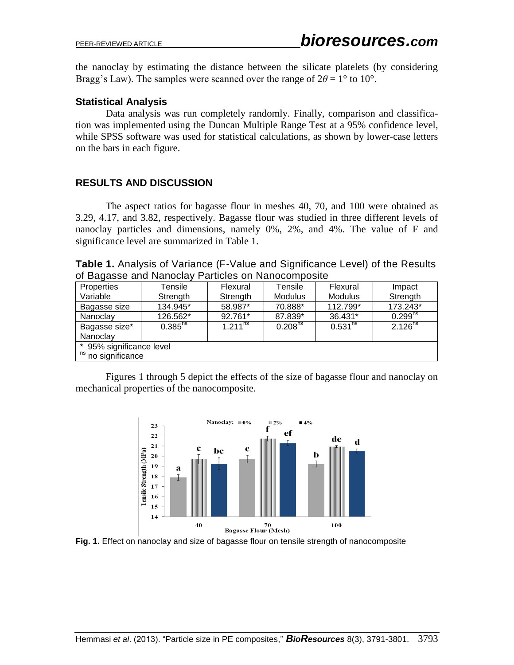the nanoclay by estimating the distance between the silicate platelets (by considering Bragg's Law). The samples were scanned over the range of  $2\theta = 1^\circ$  to  $10^\circ$ .

## **Statistical Analysis**

Data analysis was run completely randomly. Finally, comparison and classification was implemented using the Duncan Multiple Range Test at a 95% confidence level, while SPSS software was used for statistical calculations, as shown by lower-case letters on the bars in each figure.

## **RESULTS AND DISCUSSION**

The aspect ratios for bagasse flour in meshes 40, 70, and 100 were obtained as 3.29, 4.17, and 3.82, respectively. Bagasse flour was studied in three different levels of nanoclay particles and dimensions, namely 0%, 2%, and 4%. The value of F and significance level are summarized in Table 1.

**Table 1.** Analysis of Variance (F-Value and Significance Level) of the Results of Bagasse and Nanoclay Particles on Nanocomposite

| Properties               | Tensile      | Flexural     | Tensile             | Flexural       | Impact       |
|--------------------------|--------------|--------------|---------------------|----------------|--------------|
| Variable                 | Strength     | Strength     | <b>Modulus</b>      | <b>Modulus</b> | Strength     |
| Bagasse size             | 134.945*     | 58.987*      | 70.888*             | 112.799*       | 173.243*     |
| Nanoclay                 | 126.562*     | 92.761*      | 87.839*             | 36.431*        | $0.299^{ns}$ |
| Bagasse size*            | $0.385^{ns}$ | $1.211^{ns}$ | 0.208 <sup>ns</sup> | $0.531^{ns}$   | $2.126^{ns}$ |
| Nanoclay                 |              |              |                     |                |              |
| * 95% significance level |              |              |                     |                |              |
| ns no significance       |              |              |                     |                |              |

Figures 1 through 5 depict the effects of the size of bagasse flour and nanoclay on mechanical properties of the nanocomposite.



**Fig. 1.** Effect on nanoclay and size of bagasse flour on tensile strength of nanocomposite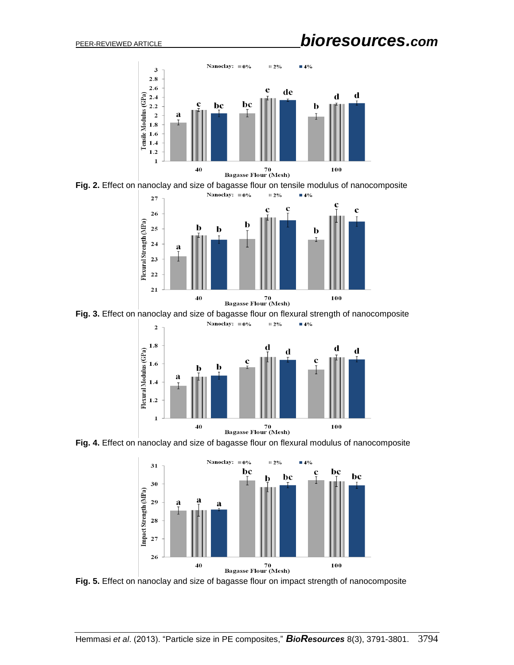

**Fig. 2.** Effect on nanoclay and size of bagasse flour on tensile modulus of nanocomposite



**Fig. 3.** Effect on nanoclay and size of bagasse flour on flexural strength of nanocomposite



**Fig. 4.** Effect on nanoclay and size of bagasse flour on flexural modulus of nanocomposite



**Fig. 5.** Effect on nanoclay and size of bagasse flour on impact strength of nanocomposite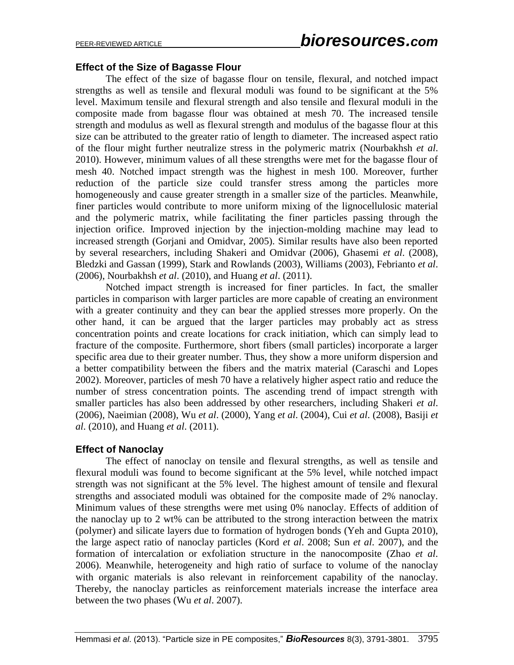#### **Effect of the Size of Bagasse Flour**

The effect of the size of bagasse flour on tensile, flexural, and notched impact strengths as well as tensile and flexural moduli was found to be significant at the 5% level. Maximum tensile and flexural strength and also tensile and flexural moduli in the composite made from bagasse flour was obtained at mesh 70. The increased tensile strength and modulus as well as flexural strength and modulus of the bagasse flour at this size can be attributed to the greater ratio of length to diameter. The increased aspect ratio of the flour might further neutralize stress in the polymeric matrix (Nourbakhsh *et al*. 2010). However, minimum values of all these strengths were met for the bagasse flour of mesh 40. Notched impact strength was the highest in mesh 100. Moreover, further reduction of the particle size could transfer stress among the particles more homogeneously and cause greater strength in a smaller size of the particles. Meanwhile, finer particles would contribute to more uniform mixing of the lignocellulosic material and the polymeric matrix, while facilitating the finer particles passing through the injection orifice. Improved injection by the injection-molding machine may lead to increased strength (Gorjani and Omidvar, 2005). Similar results have also been reported by several researchers, including Shakeri and Omidvar (2006), Ghasemi *et al*. (2008), Bledzki and Gassan (1999), Stark and Rowlands (2003), Williams (2003), Febrianto *et al*. (2006), Nourbakhsh *et al*. (2010), and Huang *et al*. (2011).

Notched impact strength is increased for finer particles. In fact, the smaller particles in comparison with larger particles are more capable of creating an environment with a greater continuity and they can bear the applied stresses more properly. On the other hand, it can be argued that the larger particles may probably act as stress concentration points and create locations for crack initiation, which can simply lead to fracture of the composite. Furthermore, short fibers (small particles) incorporate a larger specific area due to their greater number. Thus, they show a more uniform dispersion and a better compatibility between the fibers and the matrix material (Caraschi and Lopes 2002). Moreover, particles of mesh 70 have a relatively higher aspect ratio and reduce the number of stress concentration points. The ascending trend of impact strength with smaller particles has also been addressed by other researchers, including Shakeri *et al*. (2006), Naeimian (2008), Wu *et al*. (2000), Yang *et al*. (2004), Cui *et al*. (2008), Basiji *et al*. (2010), and Huang *et al*. (2011).

## **Effect of Nanoclay**

The effect of nanoclay on tensile and flexural strengths, as well as tensile and flexural moduli was found to become significant at the 5% level, while notched impact strength was not significant at the 5% level. The highest amount of tensile and flexural strengths and associated moduli was obtained for the composite made of 2% nanoclay. Minimum values of these strengths were met using 0% nanoclay. Effects of addition of the nanoclay up to 2 wt% can be attributed to the strong interaction between the matrix (polymer) and silicate layers due to formation of hydrogen bonds (Yeh and Gupta 2010), the large aspect ratio of nanoclay particles (Kord *et al*. 2008; Sun *et al*. 2007), and the formation of intercalation or exfoliation structure in the nanocomposite (Zhao *et al*. 2006). Meanwhile, heterogeneity and high ratio of surface to volume of the nanoclay with organic materials is also relevant in reinforcement capability of the nanoclay. Thereby, the nanoclay particles as reinforcement materials increase the interface area between the two phases (Wu *et al*. 2007).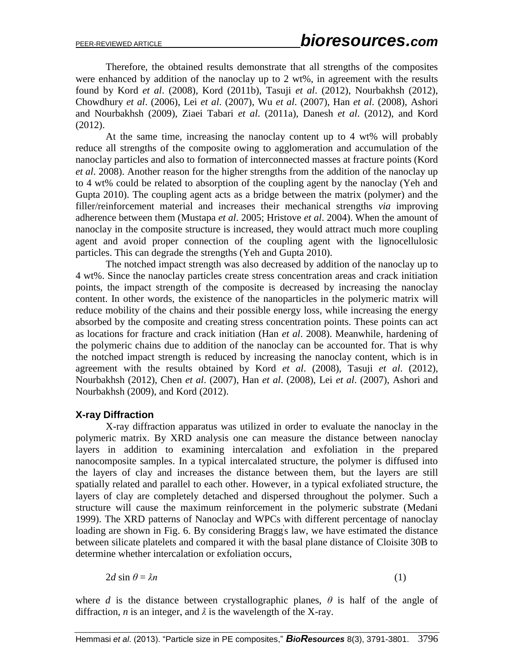Therefore, the obtained results demonstrate that all strengths of the composites were enhanced by addition of the nanoclay up to 2 wt%, in agreement with the results found by Kord *et al*. (2008), Kord (2011b), Tasuji *et al*. (2012), Nourbakhsh (2012), Chowdhury *et al*. (2006), Lei *et al*. (2007), Wu *et al*. (2007), Han *et al*. (2008), Ashori and Nourbakhsh (2009), Ziaei Tabari *et al*. (2011a), Danesh *et al*. (2012), and Kord (2012).

At the same time, increasing the nanoclay content up to 4 wt% will probably reduce all strengths of the composite owing to agglomeration and accumulation of the nanoclay particles and also to formation of interconnected masses at fracture points (Kord *et al*. 2008). Another reason for the higher strengths from the addition of the nanoclay up to 4 wt% could be related to absorption of the coupling agent by the nanoclay (Yeh and Gupta 2010). The coupling agent acts as a bridge between the matrix (polymer) and the filler/reinforcement material and increases their mechanical strengths *via* improving adherence between them (Mustapa *et al*. 2005; Hristove *et al*. 2004). When the amount of nanoclay in the composite structure is increased, they would attract much more coupling agent and avoid proper connection of the coupling agent with the lignocellulosic particles. This can degrade the strengths (Yeh and Gupta 2010).

The notched impact strength was also decreased by addition of the nanoclay up to 4 wt%. Since the nanoclay particles create stress concentration areas and crack initiation points, the impact strength of the composite is decreased by increasing the nanoclay content. In other words, the existence of the nanoparticles in the polymeric matrix will reduce mobility of the chains and their possible energy loss, while increasing the energy absorbed by the composite and creating stress concentration points. These points can act as locations for fracture and crack initiation (Han *et al*. 2008). Meanwhile, hardening of the polymeric chains due to addition of the nanoclay can be accounted for. That is why the notched impact strength is reduced by increasing the nanoclay content, which is in agreement with the results obtained by Kord *et al*. (2008), Tasuji *et al*. (2012), Nourbakhsh (2012), Chen *et al*. (2007), Han *et al*. (2008), Lei *et al*. (2007), Ashori and Nourbakhsh (2009), and Kord (2012).

## **X-ray Diffraction**

X-ray diffraction apparatus was utilized in order to evaluate the nanoclay in the polymeric matrix. By XRD analysis one can measure the distance between nanoclay layers in addition to examining intercalation and exfoliation in the prepared nanocomposite samples. In a typical intercalated structure, the polymer is diffused into the layers of clay and increases the distance between them, but the layers are still spatially related and parallel to each other. However, in a typical exfoliated structure, the layers of clay are completely detached and dispersed throughout the polymer. Such a structure will cause the maximum reinforcement in the polymeric substrate (Medani 1999). The XRD patterns of Nanoclay and WPCs with different percentage of nanoclay loading are shown in Fig. 6. By considering Bragg's law, we have estimated the distance between silicate platelets and compared it with the basal plane distance of Cloisite 30B to determine whether intercalation or exfoliation occurs,

 $2d \sin \theta = \lambda n$  (1)

where *d* is the distance between crystallographic planes,  $\theta$  is half of the angle of diffraction, *n* is an integer, and  $\lambda$  is the wavelength of the X-ray.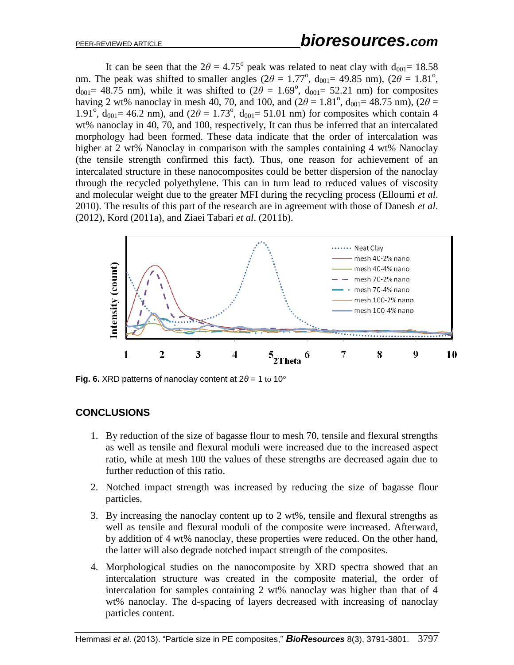It can be seen that the  $2\theta = 4.75^{\circ}$  peak was related to neat clay with  $d_{001} = 18.58$ nm. The peak was shifted to smaller angles ( $2\theta = 1.77^\circ$ ,  $d_{001} = 49.85$  nm), ( $2\theta = 1.81^\circ$ ,  $d_{001}$ = 48.75 nm), while it was shifted to  $(2\theta = 1.69^{\circ}, d_{001} = 52.21$  nm) for composites having 2 wt% nanoclay in mesh 40, 70, and 100, and  $(2\theta = 1.81^{\circ}, d_{001} = 48.75 \text{ nm})$ ,  $(2\theta =$ 1.91<sup>o</sup>, d<sub>001</sub> = 46.2 nm), and (2 $\theta$  = 1.73<sup>o</sup>, d<sub>001</sub> = 51.01 nm) for composites which contain 4 wt% nanoclay in 40, 70, and 100, respectively, It can thus be inferred that an intercalated morphology had been formed. These data indicate that the order of intercalation was higher at 2 wt% Nanoclay in comparison with the samples containing 4 wt% Nanoclay (the tensile strength confirmed this fact). Thus, one reason for achievement of an intercalated structure in these nanocomposites could be better dispersion of the nanoclay through the recycled polyethylene. This can in turn lead to reduced values of viscosity and molecular weight due to the greater MFI during the recycling process (Elloumi *et al*. 2010). The results of this part of the research are in agreement with those of Danesh *et al*. (2012), Kord (2011a), and Ziaei Tabari *et al*. (2011b).



**Fig. 6.** XRD patterns of nanoclay content at 2*θ* = 1 to 10°

# **CONCLUSIONS**

- 1. By reduction of the size of bagasse flour to mesh 70, tensile and flexural strengths as well as tensile and flexural moduli were increased due to the increased aspect ratio, while at mesh 100 the values of these strengths are decreased again due to further reduction of this ratio.
- 2. Notched impact strength was increased by reducing the size of bagasse flour particles.
- 3. By increasing the nanoclay content up to 2 wt%, tensile and flexural strengths as well as tensile and flexural moduli of the composite were increased. Afterward, by addition of 4 wt% nanoclay, these properties were reduced. On the other hand, the latter will also degrade notched impact strength of the composites.
- 4. Morphological studies on the nanocomposite by XRD spectra showed that an intercalation structure was created in the composite material, the order of intercalation for samples containing 2 wt% nanoclay was higher than that of 4 wt% nanoclay. The d-spacing of layers decreased with increasing of nanoclay particles content.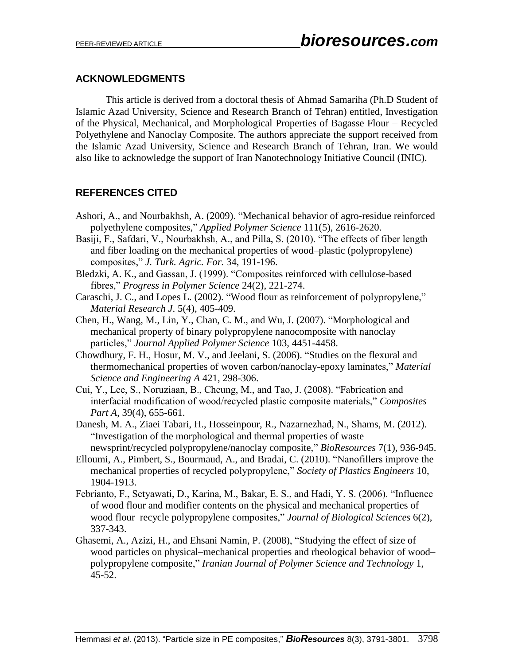## **ACKNOWLEDGMENTS**

This article is derived from a doctoral thesis of Ahmad Samariha (Ph.D Student of Islamic Azad University, Science and Research Branch of Tehran) entitled, Investigation of the Physical, Mechanical, and Morphological Properties of Bagasse Flour – Recycled Polyethylene and Nanoclay Composite. The authors appreciate the support received from the Islamic Azad University, Science and Research Branch of Tehran, Iran. We would also like to acknowledge the support of Iran Nanotechnology Initiative Council (INIC).

# **REFERENCES CITED**

- Ashori, A., and Nourbakhsh, A. (2009). "Mechanical behavior of agro-residue reinforced polyethylene composites," *Applied Polymer Science* 111(5), 2616-2620.
- Basiji, F., Safdari, V., Nourbakhsh, A., and Pilla, S. (2010). "The effects of fiber length and fiber loading on the mechanical properties of wood–plastic (polypropylene) " *J. Turk. Agric. For.* 34, 191-196.
- Bledzki, A. K., and Gassan, J. (1999). "Composites reinforced with cellulose-based fibres," *Progress in Polymer Science* 24(2), 221-274.
- Caraschi, J. C., and Lopes L. (2002). "Wood flour as reinforcement of polypropylene," *Material Research J*. 5(4), 405-409.
- Chen, H., Wang, M., Lin, Y., Chan, C. M., and Wu, J. (2007). "Morphological and mechanical property of binary polypropylene nanocomposite with nanoclay particles," Journal Applied Polymer Science 103, 4451-4458.
- Chowdhury, F. H., Hosur, M. V., and Jeelani, S. (2006). "Studies on the flexural and thermomechanical properties of woven carbon/nanoclay-epoxy laminates," *Material Science and Engineering A* 421, 298-306.
- Cui, Y., Lee, S., Noruziaan, B., Cheung, M., and Tao, J. (2008). "Fabrication and interfacial modification of wood/recycled plastic composite materials," Composites *Part A*, 39(4), 655-661.
- Danesh, M. A., Ziaei Tabari, H., Hosseinpour, R., Nazarnezhad, N., Shams, M. (2012). "Investigation of the morphological and thermal properties of waste newsprint/recycled polypropylene/nanoclay composite," *BioResources* 7(1), 936-945.
- Elloumi, A., Pimbert, S., Bourmaud, A., and Bradai, C. (2010). "Nanofillers improve the mechanical properties of recycled polypropylene," Society of Plastics Engineers 10, 1904-1913.
- Febrianto, F., Setyawati, D., Karina, M., Bakar, E. S., and Hadi, Y. S. (2006). "Influence of wood flour and modifier contents on the physical and mechanical properties of wood flour–recycle polypropylene composites," *Journal of Biological Sciences* 6(2), 337-343.
- Ghasemi, A., Azizi, H., and Ehsani Namin, P. (2008), "Studying the effect of size of wood particles on physical–mechanical properties and rheological behavior of wood– polypropylene composite," *Iranian Journal of Polymer Science and Technology* 1, 45-52.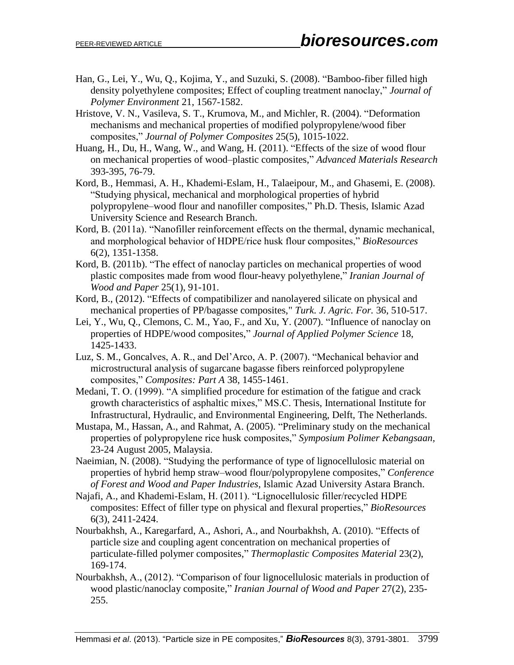- Han, G., Lei, Y., Wu, Q., Kojima, Y., and Suzuki, S. (2008). "Bamboo-fiber filled high density polyethylene composites; Effect of coupling treatment nanoclay," *Journal of Polymer Environment* 21, 1567-1582.
- Hristove, V. N., Vasileva, S. T., Krumova, M., and Michler, R. (2004). "Deformation mechanisms and mechanical properties of modified polypropylene/wood fiber " *Journal of Polymer Composites* 25(5), 1015-1022.
- Huang, H., Du, H., Wang, W., and Wang, H. (2011). "Effects of the size of wood flour on mechanical properties of wood–plastic composites," *[Advanced Materials Research](http://www.scientific.net/AMR)* 393-395, 76-79.
- Kord, B., Hemmasi, A. H., Khademi-Eslam, H., Talaeipour, M., and Ghasemi, E. (2008). "Studying physical, mechanical and morphological properties of hybrid polypropylene–wood flour and nanofiller composites " Ph.D. Thesis, Islamic Azad University Science and Research Branch.
- Kord, B. (2011a). "Nanofiller reinforcement effects on the thermal, dynamic mechanical, and morphological behavior of HDPE/rice husk flour composites," BioResources 6(2), 1351-1358.
- Kord, B.  $(2011b)$ . "The effect of nanoclay particles on mechanical properties of wood plastic composites made from wood flour-heavy polyethylene," *Iranian Journal of Wood and Paper* 25(1), 91-101.
- Kord, B., (2012). "Effects of compatibilizer and nanolayered silicate on physical and mechanical properties of PP/bagasse composites," *Turk. J. Agric. For.* 36, 510-517.
- Lei, Y., Wu, Q., Clemons, C. M., Yao, F., and Xu, Y. (2007). "Influence of nanoclay on properties of HDPE/wood composites," *Journal of Applied Polymer Science* 18, 1425-1433.
- Luz, S. M., Goncalves, A. R., and Del'Arco, A. P. (2007). "Mechanical behavior and microstructural analysis of sugarcane bagasse fibers reinforced polypropylene " *Composites: Part A* 38, 1455-1461.
- Medani, T. O. (1999). "A simplified procedure for estimation of the fatigue and crack growth characteristics of asphaltic mixes," MS.C. Thesis, International Institute for Infrastructural, Hydraulic, and Environmental Engineering, Delft, The Netherlands.
- Mustapa, M., Hassan, A., and Rahmat, A. (2005). "Preliminary study on the mechanical properties of polypropylene rice husk composites," Symposium Polimer Kebangsaan, 23-24 August 2005, Malaysia.
- Naeimian, N. (2008). "Studying the performance of type of lignocellulosic material on properties of hybrid hemp straw–wood flour/polypropylene composites " *Conference of Forest and Wood and Paper Industries*, Islamic Azad University Astara Branch.
- Najafi, A., and Khademi-Eslam, H. (2011). "Lignocellulosic filler/recycled HDPE composites: Effect of filler type on physical and flexural properties," BioResources 6(3), 2411-2424.
- Nourbakhsh, A., [Karegarfard,](http://jtc.sagepub.com/search?author1=Abolfazl+Karegarfard&sortspec=date&submit=Submit) A., [Ashori,](http://jtc.sagepub.com/search?author1=Alireza+Ashori&sortspec=date&submit=Submit) A., and [Nourbakhsh,](http://jtc.sagepub.com/search?author1=Anita+Nourbakhsh&sortspec=date&submit=Submit) A. (2010). "Effects of particle size and coupling agent concentration on mechanical properties of particulate-filled polymer composites," *Thermoplastic Composites Material* 23(2), 169-174.
- Nourbakhsh, A., (2012). "Comparison of four lignocellulosic materials in production of wood plastic/nanoclay composite," *Iranian Journal of Wood and Paper* 27(2), 235- 255.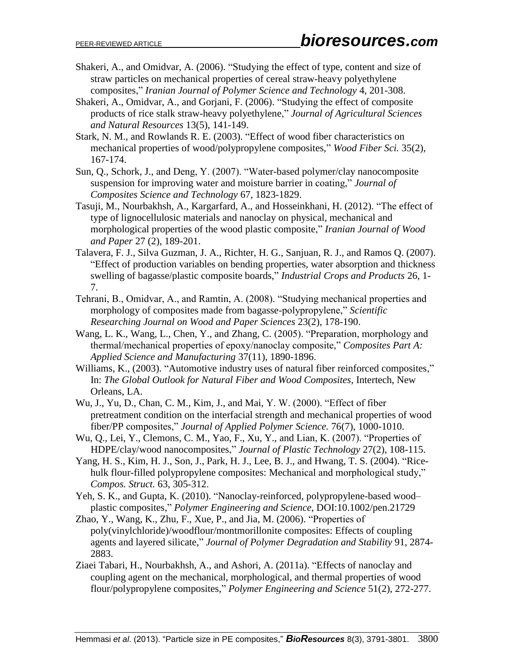- Shakeri, A., and Omidvar, A. (2006). "Studying the effect of type, content and size of straw particles on mechanical properties of cereal straw-heavy polyethylene composites " *Iranian Journal of Polymer Science and Technology* 4, 201-308.
- Shakeri, A., Omidvar, A., and Gorjani, F. (2006). "Studying the effect of composite products of rice stalk straw-heavy polyethylene " *Journal of Agricultural Sciences and Natural Resources* 13(5), 141-149.
- Stark, N. M., and Rowlands R. E. (2003). "Effect of wood fiber characteristics on mechanical properties of wood/polypropylene composites," *Wood Fiber Sci.* 35(2), 167-174.
- Sun, Q., Schork, J., and Deng, Y. (2007). "Water-based polymer/clay nanocomposite suspension for improving water and moisture barrier in coating," *Journal of Composites Science and Technology* 67, 1823-1829.
- Tasuji, M., Nourbakhsh, A., Kargarfard, A., and Hosseinkhani, H. (2012). "The effect of type of lignocellulosic materials and nanoclay on physical, mechanical and morphological properties of the wood plastic composite," *Iranian Journal of Wood and Paper* 27 (2), 189-201.
- Talavera, F. J., Silva Guzman, J. A., Richter, H. G., Sanjuan, R. J., and Ramos Q. (2007). "Effect of production variables on bending properties, water absorption and thickness swelling of bagasse/plastic composite boards," *Industrial Crops and Products* 26, 1- 7.
- Tehrani, B., Omidvar, A., and Ramtin, A. (2008). "Studying mechanical properties and morphology of composites made from bagasse-polypropylene," Scientific *Researching Journal on Wood and Paper Sciences* 23(2), 178-190.
- Wang, L. K., Wang, L., Chen, Y., and Zhang, C. (2005). "Preparation, morphology and thermal/mechanical properties of epoxy/nanoclay composite," Composites Part A: *[Applied Science and Manufacturing](http://www.sciencedirect.com/science/journal/1359835X)* 37(11), 1890-1896.
- Williams, K., (2003). "Automotive industry uses of natural fiber reinforced composites," In: *The Global Outlook for Natural Fiber and Wood Composites*, Intertech, New Orleans, LA.
- Wu, J., Yu, D., Chan, C. M., Kim, J., and Mai, Y. W. (2000). "Effect of fiber pretreatment condition on the interfacial strength and mechanical properties of wood fiber/PP composites," *Journal of Applied Polymer Science.* 76(7), 1000-1010.
- Wu, Q., Lei, Y., Clemons, C. M., Yao, F., Xu, Y., and Lian, K. (2007). "Properties of HDPE/clay/wood nanocomposites " *Journal of Plastic Technology* 27(2), 108-115.
- Yang, H. S., Kim, H. J., Son, J., Park, H. J., Lee, B. J., and Hwang, T. S. (2004). "Ricehulk flour-filled polypropylene composites: Mechanical and morphological study," *Compos. Struct.* 63, 305-312.
- Yeh, S. K., and Gupta, K. (2010). "Nanoclay-reinforced, polypropylene-based wood– plastic composites " *Polymer Engineering and Science*, DOI:10.1002/pen.21729
- Zhao, Y., Wang, K., Zhu, F., Xue, P., and Jia, M. (2006). "Properties of poly(vinylchloride)/woodflour/montmorillonite composites: Effects of coupling agents and layered silicate," *Journal of Polymer Degradation and Stability* 91, 2874- 2883.
- Ziaei Tabari, H., Nourbakhsh, A., and Ashori, A. (2011a). "Effects of nanoclay and coupling agent on the mechanical, morphological, and thermal properties of wood flour/polypropylene composites," *Polymer Engineering and Science* 51(2), 272-277.